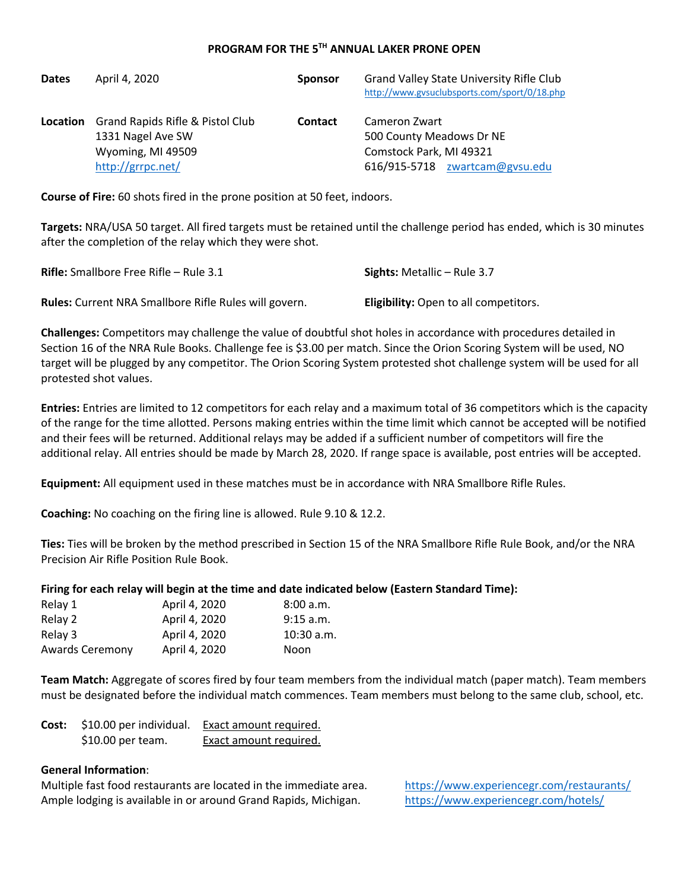## **PROGRAM FOR THE 5TH ANNUAL LAKER PRONE OPEN**

| <b>Dates</b>    | April 4, 2020                    | <b>Sponsor</b> | <b>Grand Valley State University Rifle Club</b><br>http://www.gvsuclubsports.com/sport/0/18.php |
|-----------------|----------------------------------|----------------|-------------------------------------------------------------------------------------------------|
| <b>Location</b> | Grand Rapids Rifle & Pistol Club | <b>Contact</b> | Cameron Zwart                                                                                   |
|                 | 1331 Nagel Ave SW                |                | 500 County Meadows Dr NE                                                                        |
|                 | Wyoming, MI 49509                |                | Comstock Park, MI 49321                                                                         |
|                 | http://grrpc.net/                |                | 616/915-5718 zwartcam@gvsu.edu                                                                  |

**Course of Fire:** 60 shots fired in the prone position at 50 feet, indoors.

**Targets:** NRA/USA 50 target. All fired targets must be retained until the challenge period has ended, which is 30 minutes after the completion of the relay which they were shot.

| <b>Rifle:</b> Smallbore Free Rifle – Rule 3.1                | <b>Sights:</b> Metallic – Rule 3.7           |
|--------------------------------------------------------------|----------------------------------------------|
| <b>Rules:</b> Current NRA Smallbore Rifle Rules will govern. | <b>Eligibility:</b> Open to all competitors. |

**Challenges:** Competitors may challenge the value of doubtful shot holes in accordance with procedures detailed in Section 16 of the NRA Rule Books. Challenge fee is \$3.00 per match. Since the Orion Scoring System will be used, NO target will be plugged by any competitor. The Orion Scoring System protested shot challenge system will be used for all protested shot values.

**Entries:** Entries are limited to 12 competitors for each relay and a maximum total of 36 competitors which is the capacity of the range for the time allotted. Persons making entries within the time limit which cannot be accepted will be notified and their fees will be returned. Additional relays may be added if a sufficient number of competitors will fire the additional relay. All entries should be made by March 28, 2020. If range space is available, post entries will be accepted.

**Equipment:** All equipment used in these matches must be in accordance with NRA Smallbore Rifle Rules.

**Coaching:** No coaching on the firing line is allowed. Rule 9.10 & 12.2.

**Ties:** Ties will be broken by the method prescribed in Section 15 of the NRA Smallbore Rifle Rule Book, and/or the NRA Precision Air Rifle Position Rule Book.

## **Firing for each relay will begin at the time and date indicated below (Eastern Standard Time):**

| Relay 1                | April 4, 2020 | 8:00 a.m.    |
|------------------------|---------------|--------------|
| Relay 2                | April 4, 2020 | $9:15$ a.m.  |
| Relay 3                | April 4, 2020 | $10:30$ a.m. |
| <b>Awards Ceremony</b> | April 4, 2020 | <b>Noon</b>  |

**Team Match:** Aggregate of scores fired by four team members from the individual match (paper match). Team members must be designated before the individual match commences. Team members must belong to the same club, school, etc.

| Cost: | \$10.00 per individual. | Exact amount required. |  |
|-------|-------------------------|------------------------|--|
|       | \$10.00 per team.       | Exact amount required. |  |

## **General Information**:

Multiple fast food restaurants are located in the immediate area. https://www.experiencegr.com/restaurants/ Ample lodging is available in or around Grand Rapids, Michigan. https://www.experiencegr.com/hotels/